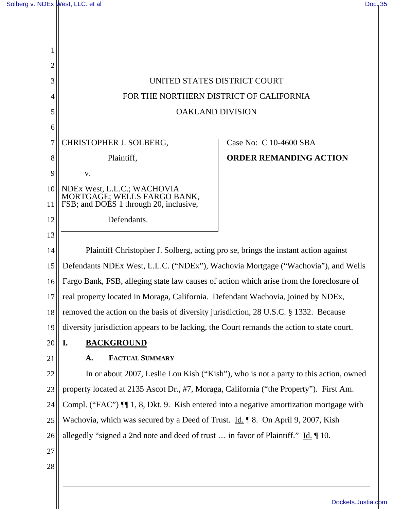| 1              |                                                                                                     |                               |  |
|----------------|-----------------------------------------------------------------------------------------------------|-------------------------------|--|
| $\overline{2}$ |                                                                                                     |                               |  |
| 3              | UNITED STATES DISTRICT COURT                                                                        |                               |  |
| 4              | FOR THE NORTHERN DISTRICT OF CALIFORNIA                                                             |                               |  |
| 5              | <b>OAKLAND DIVISION</b>                                                                             |                               |  |
| 6              |                                                                                                     |                               |  |
| 7              | CHRISTOPHER J. SOLBERG,                                                                             | Case No: C 10-4600 SBA        |  |
| 8              | Plaintiff,                                                                                          | <b>ORDER REMANDING ACTION</b> |  |
| 9              | V.                                                                                                  |                               |  |
| 10             | NDEx West, L.L.C.; WACHOVIA                                                                         |                               |  |
| 11             | MORTGAGE; WELLS FARGO BANK,<br>FSB; and DOES 1 through 20, inclusive,                               |                               |  |
| 12             | Defendants.                                                                                         |                               |  |
| 13             |                                                                                                     |                               |  |
| 14             | Plaintiff Christopher J. Solberg, acting pro se, brings the instant action against                  |                               |  |
| 15             | Defendants NDEx West, L.L.C. ("NDEx"), Wachovia Mortgage ("Wachovia"), and Wells                    |                               |  |
| 16             | Fargo Bank, FSB, alleging state law causes of action which arise from the foreclosure of            |                               |  |
| 17             | real property located in Moraga, California. Defendant Wachovia, joined by NDEx,                    |                               |  |
| 18             | removed the action on the basis of diversity jurisdiction, 28 U.S.C. § 1332. Because                |                               |  |
| 19             | diversity jurisdiction appears to be lacking, the Court remands the action to state court.          |                               |  |
| 20             | <b>BACKGROUND</b><br>I.                                                                             |                               |  |
| 21             | <b>FACTUAL SUMMARY</b><br>A.                                                                        |                               |  |
| 22             | In or about 2007, Leslie Lou Kish ("Kish"), who is not a party to this action, owned                |                               |  |
| 23             | property located at 2135 Ascot Dr., #7, Moraga, California ("the Property"). First Am.              |                               |  |
| 24             | Compl. ("FAC") ¶ 1, 8, Dkt. 9. Kish entered into a negative amortization mortgage with              |                               |  |
| 25             | Wachovia, which was secured by a Deed of Trust. Id. 18. On April 9, 2007, Kish                      |                               |  |
| 26             | allegedly "signed a 2nd note and deed of trust  in favor of Plaintiff." $\underline{Id}$ . $\P$ 10. |                               |  |
| 27             |                                                                                                     |                               |  |
| 28             |                                                                                                     |                               |  |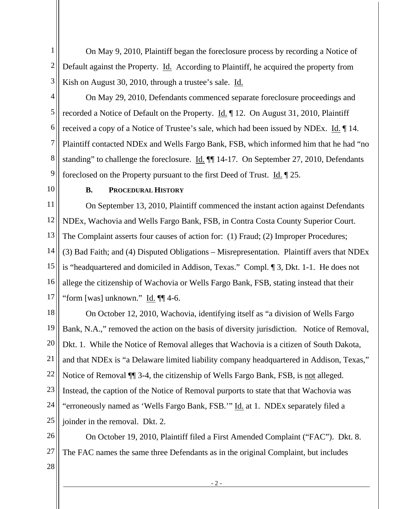1 2 3 On May 9, 2010, Plaintiff began the foreclosure process by recording a Notice of Default against the Property. Id. According to Plaintiff, he acquired the property from Kish on August 30, 2010, through a trustee's sale. Id.

4

5 6 8 9 On May 29, 2010, Defendants commenced separate foreclosure proceedings and recorded a Notice of Default on the Property. Id. ¶ 12. On August 31, 2010, Plaintiff received a copy of a Notice of Trustee's sale, which had been issued by NDEx. Id. ¶ 14. Plaintiff contacted NDEx and Wells Fargo Bank, FSB, which informed him that he had "no standing" to challenge the foreclosure. Id. ¶¶ 14-17. On September 27, 2010, Defendants foreclosed on the Property pursuant to the first Deed of Trust. Id. ¶ 25.

10

7

## **B. PROCEDURAL HISTORY**

11 12 13 14 15 16 17 On September 13, 2010, Plaintiff commenced the instant action against Defendants NDEx, Wachovia and Wells Fargo Bank, FSB, in Contra Costa County Superior Court. The Complaint asserts four causes of action for: (1) Fraud; (2) Improper Procedures; (3) Bad Faith; and (4) Disputed Obligations – Misrepresentation. Plaintiff avers that NDEx is "headquartered and domiciled in Addison, Texas." Compl. ¶ 3, Dkt. 1-1. He does not allege the citizenship of Wachovia or Wells Fargo Bank, FSB, stating instead that their "form [was] unknown." Id. ¶¶ 4-6.

18 19 20 21 22 23 24 25 On October 12, 2010, Wachovia, identifying itself as "a division of Wells Fargo Bank, N.A.," removed the action on the basis of diversity jurisdiction. Notice of Removal, Dkt. 1. While the Notice of Removal alleges that Wachovia is a citizen of South Dakota, and that NDEx is "a Delaware limited liability company headquartered in Addison, Texas," Notice of Removal ¶¶ 3-4, the citizenship of Wells Fargo Bank, FSB, is not alleged. Instead, the caption of the Notice of Removal purports to state that that Wachovia was "erroneously named as 'Wells Fargo Bank, FSB.'" Id. at 1. NDEx separately filed a joinder in the removal. Dkt. 2.

26 27 On October 19, 2010, Plaintiff filed a First Amended Complaint ("FAC"). Dkt. 8. The FAC names the same three Defendants as in the original Complaint, but includes

28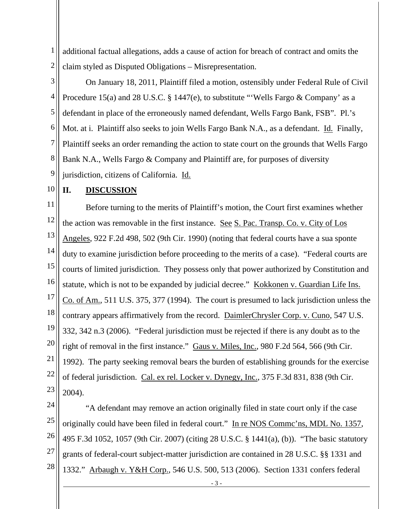1 2 additional factual allegations, adds a cause of action for breach of contract and omits the claim styled as Disputed Obligations – Misrepresentation.

3 4 5 6 7 8 9 On January 18, 2011, Plaintiff filed a motion, ostensibly under Federal Rule of Civil Procedure 15(a) and 28 U.S.C. § 1447(e), to substitute "Wells Fargo & Company' as a defendant in place of the erroneously named defendant, Wells Fargo Bank, FSB". Pl.'s Mot. at i. Plaintiff also seeks to join Wells Fargo Bank N.A., as a defendant. Id. Finally, Plaintiff seeks an order remanding the action to state court on the grounds that Wells Fargo Bank N.A., Wells Fargo & Company and Plaintiff are, for purposes of diversity jurisdiction, citizens of California. Id.

## 10 **II. DISCUSSION**

11 12 13 14 15 16 17 18 19 20 21 22 23 Before turning to the merits of Plaintiff's motion, the Court first examines whether the action was removable in the first instance. See S. Pac. Transp. Co. v. City of Los Angeles, 922 F.2d 498, 502 (9th Cir. 1990) (noting that federal courts have a sua sponte duty to examine jurisdiction before proceeding to the merits of a case). "Federal courts are courts of limited jurisdiction. They possess only that power authorized by Constitution and statute, which is not to be expanded by judicial decree." Kokkonen v. Guardian Life Ins. Co. of Am., 511 U.S. 375, 377 (1994). The court is presumed to lack jurisdiction unless the contrary appears affirmatively from the record. DaimlerChrysler Corp. v. Cuno, 547 U.S. 332, 342 n.3 (2006). "Federal jurisdiction must be rejected if there is any doubt as to the right of removal in the first instance." Gaus v. Miles, Inc., 980 F.2d 564, 566 (9th Cir. 1992). The party seeking removal bears the burden of establishing grounds for the exercise of federal jurisdiction. Cal. ex rel. Locker v. Dynegy, Inc., 375 F.3d 831, 838 (9th Cir. 2004).

24 25 26 27 28 "A defendant may remove an action originally filed in state court only if the case originally could have been filed in federal court." In re NOS Commc'ns, MDL No. 1357, 495 F.3d 1052, 1057 (9th Cir. 2007) (citing 28 U.S.C. § 1441(a), (b)). "The basic statutory grants of federal-court subject-matter jurisdiction are contained in 28 U.S.C. §§ 1331 and 1332." Arbaugh v. Y&H Corp., 546 U.S. 500, 513 (2006). Section 1331 confers federal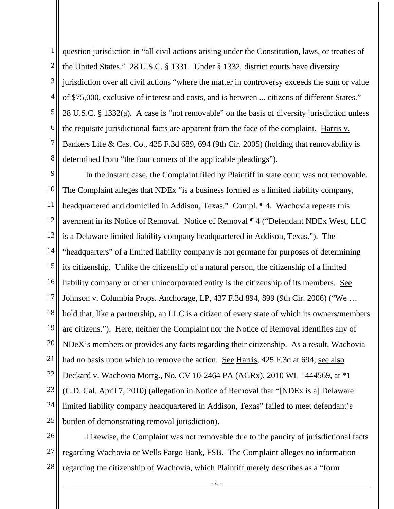1 2 3 4 5 6 7 8 question jurisdiction in "all civil actions arising under the Constitution, laws, or treaties of the United States." 28 U.S.C. § 1331. Under § 1332, district courts have diversity jurisdiction over all civil actions "where the matter in controversy exceeds the sum or value of \$75,000, exclusive of interest and costs, and is between ... citizens of different States." 28 U.S.C. § 1332(a). A case is "not removable" on the basis of diversity jurisdiction unless the requisite jurisdictional facts are apparent from the face of the complaint. Harris v. Bankers Life & Cas. Co., 425 F.3d 689, 694 (9th Cir. 2005) (holding that removability is determined from "the four corners of the applicable pleadings").

9 10 11 12 13 14 15 16 17 18 19 20 21 22 23 24 25 In the instant case, the Complaint filed by Plaintiff in state court was not removable. The Complaint alleges that NDEx "is a business formed as a limited liability company, headquartered and domiciled in Addison, Texas." Compl. ¶ 4. Wachovia repeats this averment in its Notice of Removal. Notice of Removal ¶ 4 ("Defendant NDEx West, LLC is a Delaware limited liability company headquartered in Addison, Texas."). The "headquarters" of a limited liability company is not germane for purposes of determining its citizenship. Unlike the citizenship of a natural person, the citizenship of a limited liability company or other unincorporated entity is the citizenship of its members. See Johnson v. Columbia Props. Anchorage, LP, 437 F.3d 894, 899 (9th Cir. 2006) ("We … hold that, like a partnership, an LLC is a citizen of every state of which its owners/members are citizens."). Here, neither the Complaint nor the Notice of Removal identifies any of NDeX's members or provides any facts regarding their citizenship. As a result, Wachovia had no basis upon which to remove the action. See Harris, 425 F.3d at 694; see also Deckard v. Wachovia Mortg., No. CV 10-2464 PA (AGRx), 2010 WL 1444569, at \*1 (C.D. Cal. April 7, 2010) (allegation in Notice of Removal that "[NDEx is a] Delaware limited liability company headquartered in Addison, Texas" failed to meet defendant's burden of demonstrating removal jurisdiction).

26 27 28 Likewise, the Complaint was not removable due to the paucity of jurisdictional facts regarding Wachovia or Wells Fargo Bank, FSB. The Complaint alleges no information regarding the citizenship of Wachovia, which Plaintiff merely describes as a "form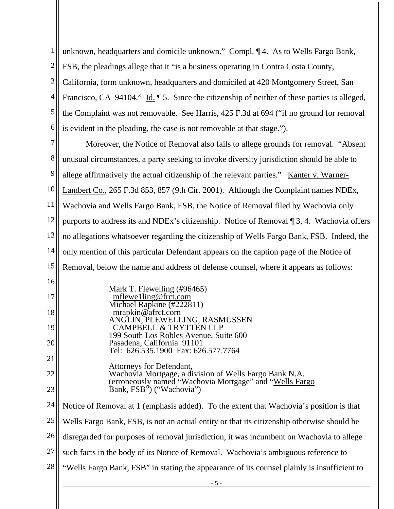| $\mathbf{1}$   | unknown, headquarters and domicile unknown." Compl. ¶ 4. As to Wells Fargo Bank,                                  |  |  |  |
|----------------|-------------------------------------------------------------------------------------------------------------------|--|--|--|
| $\overline{c}$ | FSB, the pleadings allege that it "is a business operating in Contra Costa County,                                |  |  |  |
| 3              | California, form unknown, headquarters and domiciled at 420 Montgomery Street, San                                |  |  |  |
| 4              | Francisco, CA 94104." Id. $\parallel$ 5. Since the citizenship of neither of these parties is alleged,            |  |  |  |
| 5              | the Complaint was not removable. See Harris, 425 F.3d at 694 ("if no ground for removal                           |  |  |  |
| 6              | is evident in the pleading, the case is not removable at that stage.").                                           |  |  |  |
| 7              | Moreover, the Notice of Removal also fails to allege grounds for removal. "Absent                                 |  |  |  |
| 8              | unusual circumstances, a party seeking to invoke diversity jurisdiction should be able to                         |  |  |  |
| 9              | allege affirmatively the actual citizenship of the relevant parties." Kanter v. Warner-                           |  |  |  |
| 10             | Lambert Co., 265 F.3d 853, 857 (9th Cir. 2001). Although the Complaint names NDEx,                                |  |  |  |
| 11             | Wachovia and Wells Fargo Bank, FSB, the Notice of Removal filed by Wachovia only                                  |  |  |  |
| 12             | purports to address its and NDEx's citizenship. Notice of Removal ¶ 3, 4. Wachovia offers                         |  |  |  |
| 13             | no allegations whatsoever regarding the citizenship of Wells Fargo Bank, FSB. Indeed, the                         |  |  |  |
| 14             | only mention of this particular Defendant appears on the caption page of the Notice of                            |  |  |  |
| 15             | Removal, below the name and address of defense counsel, where it appears as follows:                              |  |  |  |
| 16             | Mark T. Flewelling (#96465)                                                                                       |  |  |  |
| 17             | mflewelling@frct.com<br>Michael Rapkine $(\frac{\#222811}{)$                                                      |  |  |  |
| 18             | mrapkin@afrct.corn<br>ANGLIN, PLEWELLING, RASMUSSEN                                                               |  |  |  |
| 19             | <b>CAMPBELL &amp; TRYTTEN LLP</b><br>199 South Los Robles Avenue, Suite 600                                       |  |  |  |
| 20             | Pasadena, California 91101<br>Tel: 626.535.1900 Fax: 626.577.7764                                                 |  |  |  |
| 21             | Attorneys for Defendant,                                                                                          |  |  |  |
| 22             | Wachovia Mortgage, a division of Wells Fargo Bank N.A.<br>(erroneously named "Wachovia Mortgage" and "Wells Fargo |  |  |  |
| 23             | Bank, FSB <sup>35</sup> ("Wachovia")                                                                              |  |  |  |
| 24             | Notice of Removal at 1 (emphasis added). To the extent that Wachovia's position is that                           |  |  |  |
| 25             | Wells Fargo Bank, FSB, is not an actual entity or that its citizenship otherwise should be                        |  |  |  |
| 26             | disregarded for purposes of removal jurisdiction, it was incumbent on Wachovia to allege                          |  |  |  |
| 27             | such facts in the body of its Notice of Removal. Wachovia's ambiguous reference to                                |  |  |  |
| 28             | "Wells Fargo Bank, FSB" in stating the appearance of its counsel plainly is insufficient to                       |  |  |  |
|                | $-5 -$                                                                                                            |  |  |  |
|                |                                                                                                                   |  |  |  |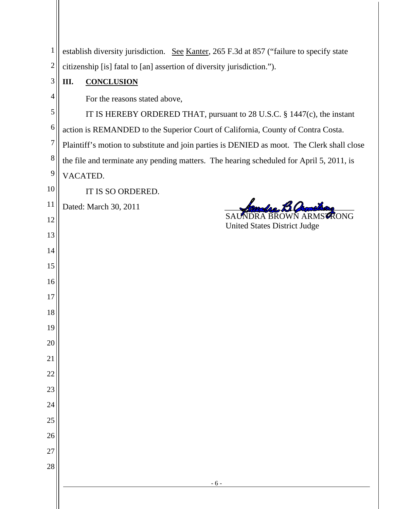| 1              | establish diversity jurisdiction. See Kanter, 265 F.3d at 857 ("failure to specify state   |  |  |
|----------------|--------------------------------------------------------------------------------------------|--|--|
| $\overline{c}$ | citizenship [is] fatal to [an] assertion of diversity jurisdiction.").                     |  |  |
| 3              | <b>CONCLUSION</b><br>III.                                                                  |  |  |
| 4              | For the reasons stated above,                                                              |  |  |
| 5              | IT IS HEREBY ORDERED THAT, pursuant to 28 U.S.C. § 1447(c), the instant                    |  |  |
| 6              | action is REMANDED to the Superior Court of California, County of Contra Costa.            |  |  |
| $\overline{7}$ | Plaintiff's motion to substitute and join parties is DENIED as moot. The Clerk shall close |  |  |
| 8              | the file and terminate any pending matters. The hearing scheduled for April 5, 2011, is    |  |  |
| 9              | VACATED.                                                                                   |  |  |
| 10             | IT IS SO ORDERED.                                                                          |  |  |
| <sup>11</sup>  | Dated: March 30, 2011<br>RONG                                                              |  |  |
| 12             | <b>BROWN ARM</b><br>A<br><b>United States District Judge</b>                               |  |  |
| 13             |                                                                                            |  |  |
| 14             |                                                                                            |  |  |
| 15             |                                                                                            |  |  |
| 16             |                                                                                            |  |  |
| 17             |                                                                                            |  |  |
| 18             |                                                                                            |  |  |
| 19             |                                                                                            |  |  |
| 20<br>21       |                                                                                            |  |  |
| 22             |                                                                                            |  |  |
| 23             |                                                                                            |  |  |
| 24             |                                                                                            |  |  |
| 25             |                                                                                            |  |  |
| 26             |                                                                                            |  |  |
| 27             |                                                                                            |  |  |
| 28             |                                                                                            |  |  |
|                | $-6-$                                                                                      |  |  |
|                |                                                                                            |  |  |
|                |                                                                                            |  |  |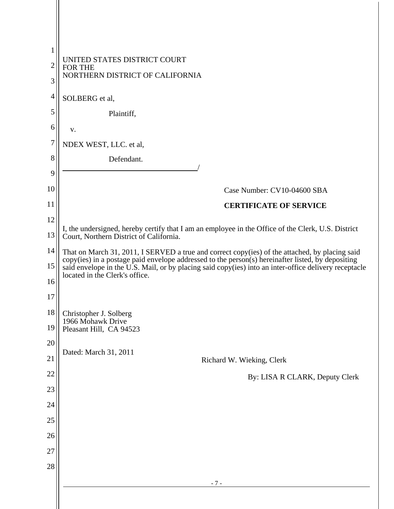| $\mathbf{1}$   |                                                                                                                                                                                                     |  |  |
|----------------|-----------------------------------------------------------------------------------------------------------------------------------------------------------------------------------------------------|--|--|
| $\overline{2}$ | UNITED STATES DISTRICT COURT<br><b>FOR THE</b>                                                                                                                                                      |  |  |
| 3              | NORTHERN DISTRICT OF CALIFORNIA                                                                                                                                                                     |  |  |
| 4              | SOLBERG et al,                                                                                                                                                                                      |  |  |
| 5              | Plaintiff,                                                                                                                                                                                          |  |  |
| 6              | v.                                                                                                                                                                                                  |  |  |
| 7              | NDEX WEST, LLC. et al,                                                                                                                                                                              |  |  |
| 8              | Defendant.                                                                                                                                                                                          |  |  |
| 9              |                                                                                                                                                                                                     |  |  |
| 10             | Case Number: CV10-04600 SBA                                                                                                                                                                         |  |  |
| 11             | <b>CERTIFICATE OF SERVICE</b>                                                                                                                                                                       |  |  |
| 12             | I, the undersigned, hereby certify that I am an employee in the Office of the Clerk, U.S. District                                                                                                  |  |  |
| 13             | Court, Northern District of California.                                                                                                                                                             |  |  |
| 14             | That on March 31, 2011, I SERVED a true and correct copy(ies) of the attached, by placing said<br>copy(ies) in a postage paid envelope addressed to the person(s) hereinafter listed, by depositing |  |  |
| 15             | said envelope in the U.S. Mail, or by placing said copy(ies) into an inter-office delivery receptacle<br>located in the Clerk's office.                                                             |  |  |
| 16             |                                                                                                                                                                                                     |  |  |
| 17             |                                                                                                                                                                                                     |  |  |
| 18<br>19       | Christopher J. Solberg<br>1966 Mohawk Drive<br>Pleasant Hill, CA 94523                                                                                                                              |  |  |
| 20             |                                                                                                                                                                                                     |  |  |
| 21             | Dated: March 31, 2011<br>Richard W. Wieking, Clerk                                                                                                                                                  |  |  |
| 22             | By: LISA R CLARK, Deputy Clerk                                                                                                                                                                      |  |  |
| 23             |                                                                                                                                                                                                     |  |  |
| 24             |                                                                                                                                                                                                     |  |  |
| 25             |                                                                                                                                                                                                     |  |  |
| 26             |                                                                                                                                                                                                     |  |  |
| 27             |                                                                                                                                                                                                     |  |  |
| 28             |                                                                                                                                                                                                     |  |  |
|                | $-7-$                                                                                                                                                                                               |  |  |
|                |                                                                                                                                                                                                     |  |  |
|                |                                                                                                                                                                                                     |  |  |